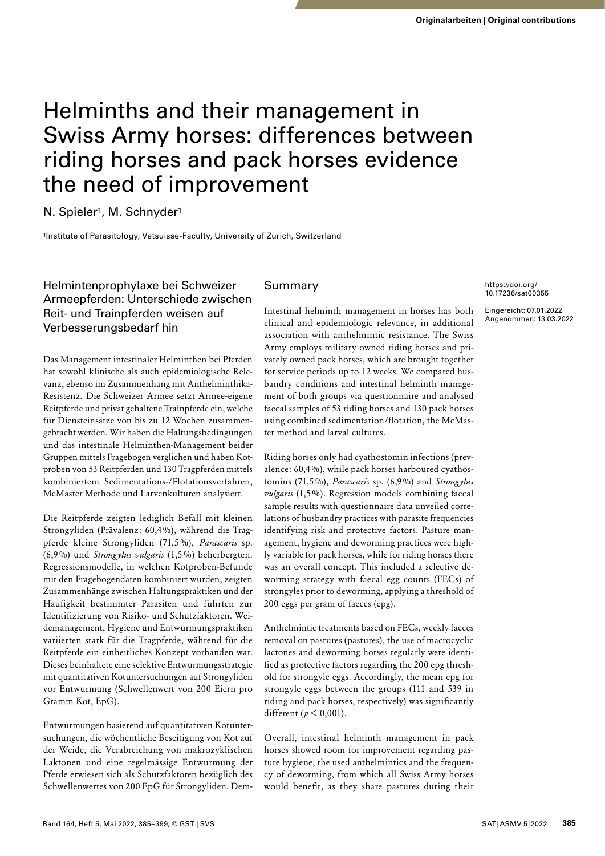N. Spieler<sup>1</sup>, M. Schnyder<sup>1</sup>

1Institute of Parasitology, Vetsuisse-Faculty, University of Zurich, Switzerland

# Helmintenprophylaxe bei Schweizer Armeepferden: Unterschiede zwischen Reit- und Trainpferden weisen auf Verbesserungsbedarf hin

Das Management intestinaler Helminthen bei Pferden hat sowohl klinische als auch epidemiologische Relevanz, ebenso im Zusammenhang mit Anthelminthika-Resistenz. Die Schweizer Armee setzt Armee-eigene Reitpferde und privat gehaltene Trainpferde ein, welche für Diensteinsätze von bis zu 12 Wochen zusammengebracht werden. Wir haben die Haltungsbedingungen und das intestinale Helminthen-Management beider Gruppen mittels Fragebogen verglichen und haben Kotproben von 53 Reitpferden und 130 Tragpferden mittels kombiniertem Sedimentations-/Flotationsverfahren, McMaster Methode und Larvenkulturen analysiert.

Die Reitpferde zeigten lediglich Befall mit kleinen Strongyliden (Prävalenz: 60,4 %), während die Tragpferde kleine Strongyliden (71,5 %), *Parascaris* sp. (6,9 %) und *Strongylus vulgaris* (1,5 %) beherbergten. Regressionsmodelle, in welchen Kotproben-Befunde mit den Fragebogendaten kombiniert wurden, zeigten Zusammenhänge zwischen Haltungspraktiken und der Häufigkeit bestimmter Parasiten und führten zur Identifizierung von Risiko- und Schutzfaktoren. Weidemanagement, Hygiene und Entwurmungspraktiken variierten stark für die Tragpferde, während für die Reitpferde ein einheitliches Konzept vorhanden war. Dieses beinhaltete eine selektive Entwurmungsstrategie mit quantitativen Kotuntersuchungen auf Strongyliden vor Entwurmung (Schwellenwert von 200 Eiern pro Gramm Kot, EpG).

Entwurmungen basierend auf quantitativen Kotuntersuchungen, die wöchentliche Beseitigung von Kot auf der Weide, die Verabreichung von makrozyklischen Laktonen und eine regelmässige Entwurmung der Pferde erwiesen sich als Schutzfaktoren bezüglich des Schwellenwertes von 200 EpG für Strongyliden. Dem-

# Summary

Intestinal helminth management in horses has both clinical and epidemiologic relevance, in additional association with anthelmintic resistance. The Swiss Army employs military owned riding horses and privately owned pack horses, which are brought together for service periods up to 12 weeks. We compared husbandry conditions and intestinal helminth management of both groups via questionnaire and analysed faecal samples of 53 riding horses and 130 pack horses using combined sedimentation/flotation, the McMaster method and larval cultures.

Riding horses only had cyathostomin infections (prevalence: 60,4 %), while pack horses harboured cyathostomins (71,5 %), *Parascaris* sp. (6,9 %) and *Strongylus vulgaris* (1,5 %). Regression models combining faecal sample results with questionnaire data unveiled correlations of husbandry practices with parasite frequencies identifying risk and protective factors. Pasture management, hygiene and deworming practices were highly variable for pack horses, while for riding horses there was an overall concept. This included a selective deworming strategy with faecal egg counts (FECs) of strongyles prior to deworming, applying a threshold of 200 eggs per gram of faeces (epg).

Anthelmintic treatments based on FECs, weekly faeces removal on pastures (pastures), the use of macrocyclic lactones and deworming horses regularly were identified as protective factors regarding the 200 epg threshold for strongyle eggs. Accordingly, the mean epg for strongyle eggs between the groups (111 and 539 in riding and pack horses, respectively) was significantly different (*p* < 0,001).

Overall, intestinal helminth management in pack horses showed room for improvement regarding pasture hygiene, the used anthelmintics and the frequency of deworming, from which all Swiss Army horses would benefit, as they share pastures during their https://doi.org/ [10.17236/sat00355](https://doi.org/10.17236/sat00355)

Eingereicht: 07.01.2022 Angenommen: 13.03.2022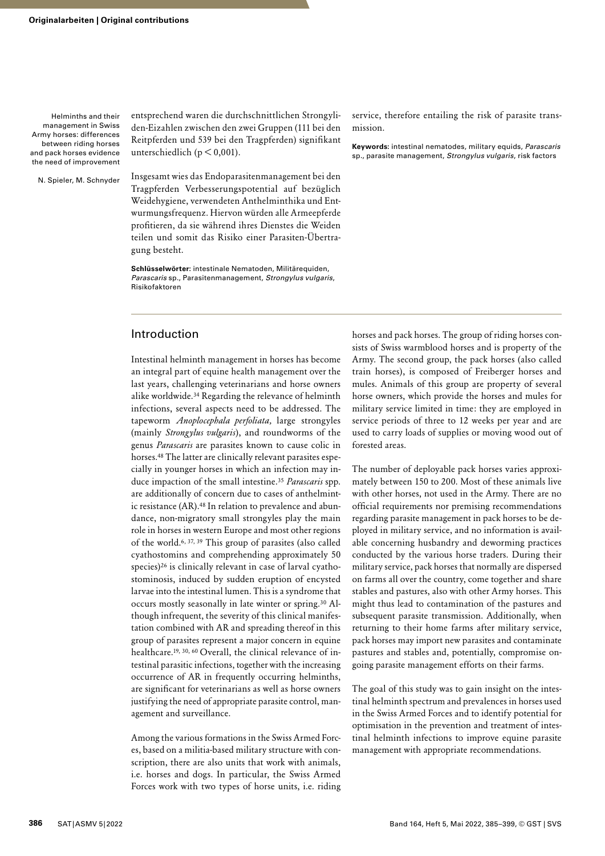N. Spieler, M. Schnyder

entsprechend waren die durchschnittlichen Strongyliden-Eizahlen zwischen den zwei Gruppen (111 bei den Reitpferden und 539 bei den Tragpferden) signifikant unterschiedlich ( $p < 0,001$ ).

Insgesamt wies das Endoparasitenmanagement bei den Tragpferden Verbesserungspotential auf bezüglich Weidehygiene, verwendeten Anthelminthika und Entwurmungsfrequenz. Hiervon würden alle Armeepferde profitieren, da sie während ihres Dienstes die Weiden teilen und somit das Risiko einer Parasiten-Übertragung besteht.

**Schlüsselwörter:** intestinale Nematoden, Militärequiden, *Parascaris* sp., Parasitenmanagement, *Strongylus vulgaris*, Risikofaktoren

## Introduction

Intestinal helminth management in horses has become an integral part of equine health management over the last years, challenging veterinarians and horse owners alike worldwide.34 Regarding the relevance of helminth infections, several aspects need to be addressed. The tapeworm *Anoplocephala perfoliata,* large strongyles (mainly *Strongylus vulgaris*), and roundworms of the genus *Parascaris* are parasites known to cause colic in horses.48 The latter are clinically relevant parasites especially in younger horses in which an infection may induce impaction of the small intestine.35 *Parascaris* spp. are additionally of concern due to cases of anthelmintic resistance (AR).<sup>48</sup> In relation to prevalence and abundance, non-migratory small strongyles play the main role in horses in western Europe and most other regions of the world.6, 37, 39 This group of parasites (also called cyathostomins and comprehending approximately 50 species)<sup>26</sup> is clinically relevant in case of larval cyathostominosis, induced by sudden eruption of encysted larvae into the intestinal lumen. This is a syndrome that occurs mostly seasonally in late winter or spring.30 Although infrequent, the severity of this clinical manifestation combined with AR and spreading thereof in this group of parasites represent a major concern in equine healthcare.19, 30, 60 Overall, the clinical relevance of intestinal parasitic infections, together with the increasing occurrence of AR in frequently occurring helminths, are significant for veterinarians as well as horse owners justifying the need of appropriate parasite control, management and surveillance.

Among the various formations in the Swiss Armed Forces, based on a militia-based military structure with conscription, there are also units that work with animals, i.e. horses and dogs. In particular, the Swiss Armed Forces work with two types of horse units, i.e. riding service, therefore entailing the risk of parasite transmission.

**Keywords:** intestinal nematodes, military equids, *Parascaris* sp., parasite management, *Strongylus vulgaris*, risk factors

horses and pack horses. The group of riding horses consists of Swiss warmblood horses and is property of the Army. The second group, the pack horses (also called train horses), is composed of Freiberger horses and mules. Animals of this group are property of several horse owners, which provide the horses and mules for military service limited in time: they are employed in service periods of three to 12 weeks per year and are used to carry loads of supplies or moving wood out of forested areas.

The number of deployable pack horses varies approximately between 150 to 200. Most of these animals live with other horses, not used in the Army. There are no official requirements nor premising recommendations regarding parasite management in pack horses to be deployed in military service, and no information is available concerning husbandry and deworming practices conducted by the various horse traders. During their military service, pack horses that normally are dispersed on farms all over the country, come together and share stables and pastures, also with other Army horses. This might thus lead to contamination of the pastures and subsequent parasite transmission. Additionally, when returning to their home farms after military service, pack horses may import new parasites and contaminate pastures and stables and, potentially, compromise ongoing parasite management efforts on their farms.

The goal of this study was to gain insight on the intestinal helminth spectrum and prevalences in horses used in the Swiss Armed Forces and to identify potential for optimisation in the prevention and treatment of intestinal helminth infections to improve equine parasite management with appropriate recommendations.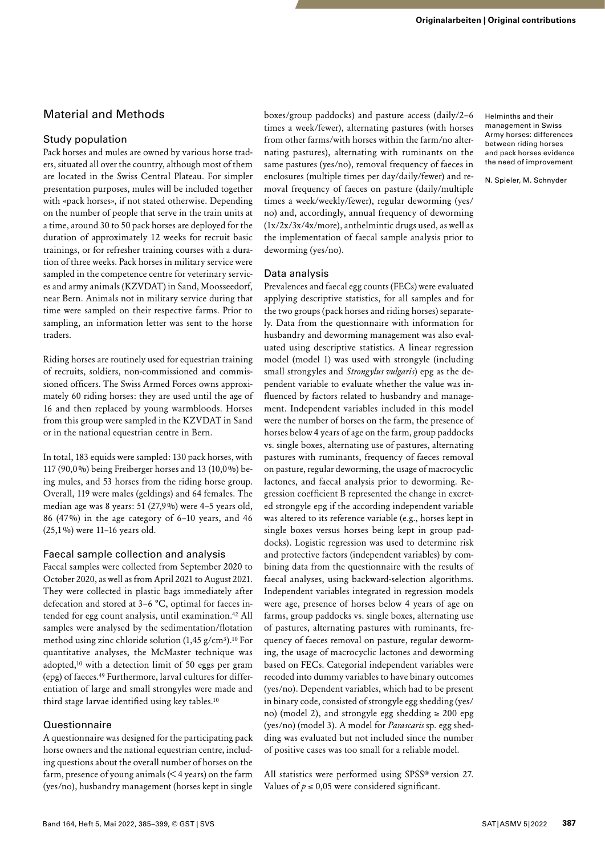# Material and Methods

## Study population

Pack horses and mules are owned by various horse traders, situated all over the country, although most of them are located in the Swiss Central Plateau. For simpler presentation purposes, mules will be included together with «pack horses», if not stated otherwise. Depending on the number of people that serve in the train units at a time, around 30 to 50 pack horses are deployed for the duration of approximately 12 weeks for recruit basic trainings, or for refresher training courses with a duration of three weeks. Pack horses in military service were sampled in the competence centre for veterinary services and army animals (KZVDAT) in Sand, Moosseedorf, near Bern. Animals not in military service during that time were sampled on their respective farms. Prior to sampling, an information letter was sent to the horse traders.

Riding horses are routinely used for equestrian training of recruits, soldiers, non-commissioned and commissioned officers. The Swiss Armed Forces owns approximately 60 riding horses: they are used until the age of 16 and then replaced by young warmbloods. Horses from this group were sampled in the KZVDAT in Sand or in the national equestrian centre in Bern.

In total, 183 equids were sampled: 130 pack horses, with 117 (90,0%) being Freiberger horses and 13 (10,0%) being mules, and 53 horses from the riding horse group. Overall, 119 were males (geldings) and 64 females. The median age was 8 years: 51 (27,9%) were 4–5 years old, 86 (47%) in the age category of 6–10 years, and 46 (25,1%) were 11–16 years old.

## Faecal sample collection and analysis

Faecal samples were collected from September 2020 to October 2020, as well as from April 2021 to August 2021. They were collected in plastic bags immediately after defecation and stored at 3–6 °C, optimal for faeces intended for egg count analysis, until examination.42 All samples were analysed by the sedimentation/flotation method using zinc chloride solution (1,45 g/cm3).10 For quantitative analyses, the McMaster technique was adopted,10 with a detection limit of 50 eggs per gram (epg) of faeces.49 Furthermore, larval cultures for differentiation of large and small strongyles were made and third stage larvae identified using key tables.10

## Questionnaire

A questionnaire was designed for the participating pack horse owners and the national equestrian centre, including questions about the overall number of horses on the farm, presence of young animals (< 4 years) on the farm (yes/no), husbandry management (horses kept in single

boxes/group paddocks) and pasture access (daily/2–6 times a week/fewer), alternating pastures (with horses from other farms/with horses within the farm/no alternating pastures), alternating with ruminants on the same pastures (yes/no), removal frequency of faeces in enclosures (multiple times per day/daily/fewer) and removal frequency of faeces on pasture (daily/multiple times a week/weekly/fewer), regular deworming (yes/ no) and, accordingly, annual frequency of deworming  $(1x/2x/3x/4x/more)$ , anthelmintic drugs used, as well as the implementation of faecal sample analysis prior to deworming (yes/no).

#### Data analysis

Prevalences and faecal egg counts (FECs) were evaluated applying descriptive statistics, for all samples and for the two groups (pack horses and riding horses) separately. Data from the questionnaire with information for husbandry and deworming management was also evaluated using descriptive statistics. A linear regression model (model 1) was used with strongyle (including small strongyles and *Strongylus vulgaris*) epg as the dependent variable to evaluate whether the value was influenced by factors related to husbandry and management. Independent variables included in this model were the number of horses on the farm, the presence of horses below 4 years of age on the farm, group paddocks vs. single boxes, alternating use of pastures, alternating pastures with ruminants, frequency of faeces removal on pasture, regular deworming, the usage of macrocyclic lactones, and faecal analysis prior to deworming. Regression coefficient B represented the change in excreted strongyle epg if the according independent variable was altered to its reference variable (e.g., horses kept in single boxes versus horses being kept in group paddocks). Logistic regression was used to determine risk and protective factors (independent variables) by combining data from the questionnaire with the results of faecal analyses, using backward-selection algorithms. Independent variables integrated in regression models were age, presence of horses below 4 years of age on farms, group paddocks vs. single boxes, alternating use of pastures, alternating pastures with ruminants, frequency of faeces removal on pasture, regular deworming, the usage of macrocyclic lactones and deworming based on FECs. Categorial independent variables were recoded into dummy variables to have binary outcomes (yes/no). Dependent variables, which had to be present in binary code, consisted of strongyle egg shedding (yes/ no) (model 2), and strongyle egg shedding  $\geq 200$  epg (yes/no) (model 3). A model for *Parascaris* sp. egg shedding was evaluated but not included since the number of positive cases was too small for a reliable model.

All statistics were performed using SPSS® version 27. Values of  $p \le 0.05$  were considered significant.

Helminths and their management in Swiss Army horses: differences between riding horses and pack horses evidence the need of improvement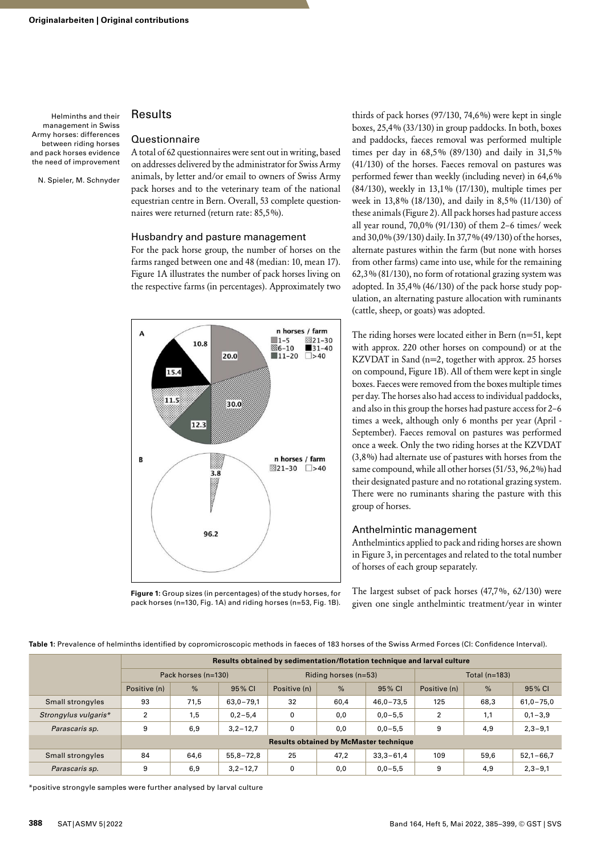N. Spieler, M. Schnyder

## Results

#### Questionnaire

A total of 62 questionnaires were sent out in writing, based on addresses delivered by the administrator for Swiss Army animals, by letter and/or email to owners of Swiss Army pack horses and to the veterinary team of the national equestrian centre in Bern. Overall, 53 complete questionnaires were returned (return rate: 85,5%).

#### Husbandry and pasture management

For the pack horse group, the number of horses on the farms ranged between one and 48 (median: 10, mean 17). Figure 1A illustrates the number of pack horses living on the respective farms (in percentages). Approximately two



**Figure 1:** Group sizes (in percentages) of the study horses, for pack horses (n=130, Fig. 1A) and riding horses (n=53, Fig. 1B).

thirds of pack horses (97/130, 74,6%) were kept in single boxes, 25,4% (33/130) in group paddocks. In both, boxes and paddocks, faeces removal was performed multiple times per day in 68,5% (89/130) and daily in 31,5% (41/130) of the horses. Faeces removal on pastures was performed fewer than weekly (including never) in 64,6% (84/130), weekly in 13,1% (17/130), multiple times per week in 13,8% (18/130), and daily in 8,5% (11/130) of these animals (Figure 2). All pack horses had pasture access all year round, 70,0% (91/130) of them 2–6 times/ week and 30,0% (39/130) daily. In 37,7% (49/130) of the horses, alternate pastures within the farm (but none with horses from other farms) came into use, while for the remaining 62,3% (81/130), no form of rotational grazing system was adopted. In 35,4% (46/130) of the pack horse study population, an alternating pasture allocation with ruminants (cattle, sheep, or goats) was adopted.

The riding horses were located either in Bern (n=51, kept with approx. 220 other horses on compound) or at the KZVDAT in Sand (n=2, together with approx. 25 horses on compound, Figure 1B). All of them were kept in single boxes. Faeces were removed from the boxes multiple times per day. The horses also had access to individual paddocks, and also in this group the horses had pasture access for 2–6 times a week, although only 6 months per year (April - September). Faeces removal on pastures was performed once a week. Only the two riding horses at the KZVDAT (3,8%) had alternate use of pastures with horses from the same compound, while all other horses (51/53, 96,2%) had their designated pasture and no rotational grazing system. There were no ruminants sharing the pasture with this group of horses.

#### Anthelmintic management

Anthelmintics applied to pack and riding horses are shown in Figure 3, in percentages and related to the total number of horses of each group separately.

The largest subset of pack horses (47,7%, 62/130) were given one single anthelmintic treatment/year in winter

**Table 1:** Prevalence of helminths identified by copromicroscopic methods in faeces of 183 horses of the Swiss Armed Forces (CI: Confidence Interval).

|                      |                                               | Results obtained by sedimentation/flotation technique and larval culture |               |                        |      |               |                 |               |               |  |
|----------------------|-----------------------------------------------|--------------------------------------------------------------------------|---------------|------------------------|------|---------------|-----------------|---------------|---------------|--|
|                      | Pack horses (n=130)                           |                                                                          |               | Riding horses $(n=53)$ |      |               | Total $(n=183)$ |               |               |  |
|                      | Positive (n)                                  | %                                                                        | 95% CI        | Positive (n)           | %    | 95% CI        | Positive (n)    | $\frac{9}{6}$ | 95% CI        |  |
| Small strongyles     | 93                                            | 71,5                                                                     | $63,0 - 79,1$ | 32                     | 60,4 | $46,0 - 73,5$ | 125             | 68,3          | $61,0 - 75,0$ |  |
| Strongylus vulgaris* | $\overline{2}$                                | 1,5                                                                      | $0, 2 - 5, 4$ | 0                      | 0,0  | $0,0 - 5,5$   | $\overline{2}$  | 1,1           | $0,1 - 3,9$   |  |
| Parascaris sp.       | 9                                             | 6,9                                                                      | $3,2 - 12,7$  | 0                      | 0,0  | $0,0 - 5,5$   | 9               | 4,9           | $2,3 - 9,1$   |  |
|                      | <b>Results obtained by McMaster technique</b> |                                                                          |               |                        |      |               |                 |               |               |  |
| Small strongyles     | 84                                            | 64,6                                                                     | $55,8 - 72,8$ | 25                     | 47,2 | $33,3 - 61,4$ | 109             | 59,6          | $52,1 - 66,7$ |  |
| Parascaris sp.       | 9                                             | 6,9                                                                      | $3.2 - 12.7$  | 0                      | 0,0  | $0,0 - 5,5$   | 9               | 4,9           | $2,3 - 9,1$   |  |

\*positive strongyle samples were further analysed by larval culture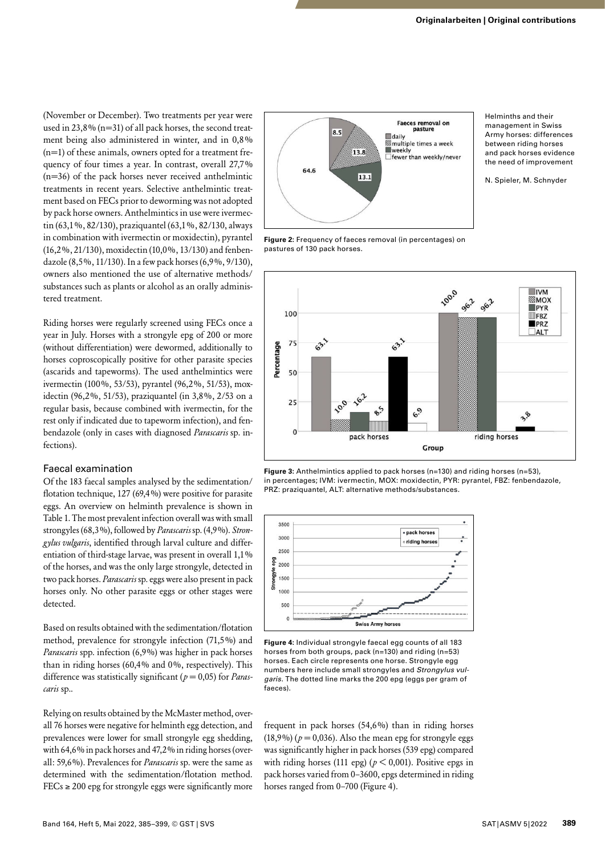(November or December). Two treatments per year were used in 23,8% (n=31) of all pack horses, the second treatment being also administered in winter, and in 0,8% (n=1) of these animals, owners opted for a treatment frequency of four times a year. In contrast, overall 27,7% (n=36) of the pack horses never received anthelmintic treatments in recent years. Selective anthelmintic treatment based on FECs prior to deworming was not adopted by pack horse owners. Anthelmintics in use were ivermectin (63,1%, 82/130), praziquantel (63,1%, 82/130, always in combination with ivermectin or moxidectin), pyrantel (16,2%, 21/130), moxidectin (10,0%, 13/130) and fenbendazole (8,5%, 11/130). In a few pack horses (6,9%, 9/130), owners also mentioned the use of alternative methods/ substances such as plants or alcohol as an orally administered treatment.

Riding horses were regularly screened using FECs once a year in July. Horses with a strongyle epg of 200 or more (without differentiation) were dewormed, additionally to horses coproscopically positive for other parasite species (ascarids and tapeworms). The used anthelmintics were ivermectin (100%, 53/53), pyrantel (96,2%, 51/53), moxidectin (96,2%, 51/53), praziquantel (in 3,8%, 2/53 on a regular basis, because combined with ivermectin, for the rest only if indicated due to tapeworm infection), and fenbendazole (only in cases with diagnosed *Parascaris* sp. infections).

#### Faecal examination

Of the 183 faecal samples analysed by the sedimentation/ flotation technique, 127 (69,4%) were positive for parasite eggs. An overview on helminth prevalence is shown in Table 1. The most prevalent infection overall was with small strongyles (68,3%), followed by *Parascaris* sp. (4,9%). *Strongylus vulgaris*, identified through larval culture and differentiation of third-stage larvae, was present in overall 1,1% of the horses, and was the only large strongyle, detected in two pack horses. *Parascaris* sp. eggs were also present in pack horses only. No other parasite eggs or other stages were detected.

Based on results obtained with the sedimentation/flotation method, prevalence for strongyle infection (71,5%) and *Parascaris* spp. infection (6,9%) was higher in pack horses than in riding horses (60,4% and 0%, respectively). This difference was statistically significant (*p* = 0,05) for *Parascaris* sp..

Relying on results obtained by the McMaster method, overall 76 horses were negative for helminth egg detection, and prevalences were lower for small strongyle egg shedding, with 64,6% in pack horses and 47,2% in riding horses (overall: 59,6%). Prevalences for *Parascaris* sp. were the same as determined with the sedimentation/flotation method. FECs  $\geq$  200 epg for strongyle eggs were significantly more



**Figure 2:** Frequency of faeces removal (in percentages) on pastures of 130 pack horses.



**Figure 3:** Anthelmintics applied to pack horses (n=130) and riding horses (n=53), in percentages; IVM: ivermectin, MOX: moxidectin, PYR: pyrantel, FBZ: fenbendazole, PRZ: praziquantel, ALT: alternative methods/substances.



**Figure 4:** Individual strongyle faecal egg counts of all 183 horses from both groups, pack (n=130) and riding (n=53) horses. Each circle represents one horse. Strongyle egg numbers here include small strongyles and *Strongylus vulgaris*. The dotted line marks the 200 epg (eggs per gram of faeces).

frequent in pack horses (54,6%) than in riding horses  $(18,9\%)$  ( $p = 0,036$ ). Also the mean epg for strongyle eggs was significantly higher in pack horses (539 epg) compared with riding horses (111 epg) ( $p < 0,001$ ). Positive epgs in pack horses varied from 0–3600, epgs determined in riding horses ranged from 0–700 (Figure 4).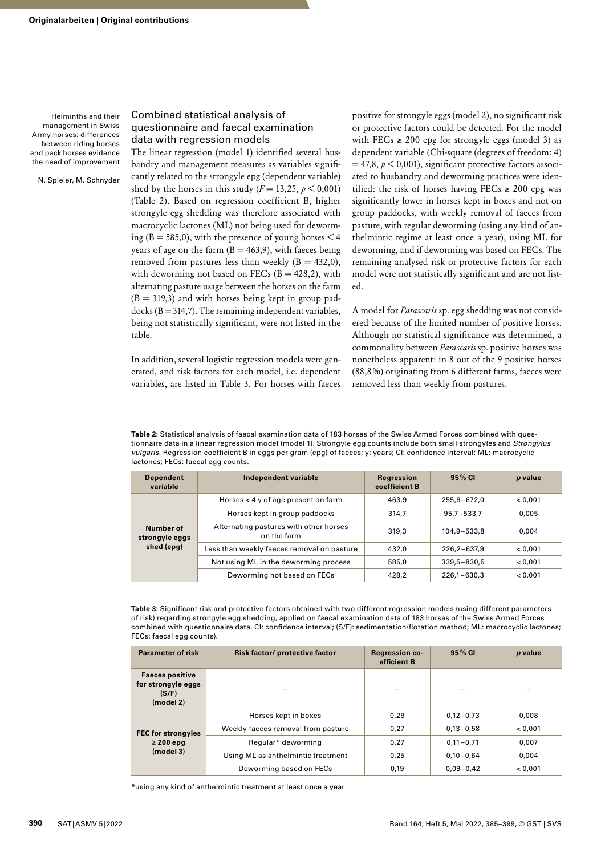N. Spieler, M. Schnyder

#### Combined statistical analysis of questionnaire and faecal examination data with regression models

The linear regression (model 1) identified several husbandry and management measures as variables significantly related to the strongyle epg (dependent variable) shed by the horses in this study ( $F = 13,25, p \le 0,001$ ) (Table 2). Based on regression coefficient B, higher strongyle egg shedding was therefore associated with macrocyclic lactones (ML) not being used for deworming ( $B = 585,0$ ), with the presence of young horses  $\leq 4$ years of age on the farm  $(B = 463, 9)$ , with faeces being removed from pastures less than weekly  $(B = 432,0)$ , with deworming not based on FECs  $(B = 428, 2)$ , with alternating pasture usage between the horses on the farm  $(B = 319,3)$  and with horses being kept in group paddocks  $(B = 314,7)$ . The remaining independent variables, being not statistically significant, were not listed in the table.

In addition, several logistic regression models were generated, and risk factors for each model, i.e. dependent variables, are listed in Table 3. For horses with faeces

positive for strongyle eggs (model 2), no significant risk or protective factors could be detected. For the model with FECs  $\ge$  200 epg for strongyle eggs (model 3) as dependent variable (Chi-square (degrees of freedom: 4)  $= 47,8, p \le 0,001$ , significant protective factors associated to husbandry and deworming practices were identified: the risk of horses having FECs  $\geq 200$  epg was significantly lower in horses kept in boxes and not on group paddocks, with weekly removal of faeces from pasture, with regular deworming (using any kind of anthelmintic regime at least once a year), using ML for deworming, and if deworming was based on FECs. The remaining analysed risk or protective factors for each model were not statistically significant and are not listed.

A model for *Parascaris* sp. egg shedding was not considered because of the limited number of positive horses. Although no statistical significance was determined, a commonality between *Parascaris* sp. positive horses was nonetheless apparent: in 8 out of the 9 positive horses (88,8%) originating from 6 different farms, faeces were removed less than weekly from pastures.

**Table 2:** Statistical analysis of faecal examination data of 183 horses of the Swiss Armed Forces combined with questionnaire data in a linear regression model (model 1). Strongyle egg counts include both small strongyles and *Strongylus vulgaris*. Regression coefficient B in eggs per gram (epg) of faeces; y: years; CI: confidence interval; ML: macrocyclic lactones; FECs: faecal egg counts.

| <b>Dependent</b><br>variable              | Independent variable                                  | Regression<br>coefficient B | 95% CI          | p value |
|-------------------------------------------|-------------------------------------------------------|-----------------------------|-----------------|---------|
| Number of<br>strongyle eggs<br>shed (epg) | Horses $<$ 4 y of age present on farm                 | 463,9                       | 255,9-672,0     | < 0.001 |
|                                           | Horses kept in group paddocks                         | 314.7                       | $95,7 - 533,7$  | 0,005   |
|                                           | Alternating pastures with other horses<br>on the farm | 319.3                       | 104,9-533,8     | 0.004   |
|                                           | Less than weekly faeces removal on pasture            | 432.0                       | $226,2-637,9$   | < 0.001 |
|                                           | Not using ML in the deworming process                 | 585,0                       | 339,5-830,5     | < 0.001 |
|                                           | Deworming not based on FECs                           | 428,2                       | $226,1 - 630,3$ | < 0.001 |

**Table 3:** Significant risk and protective factors obtained with two different regression models (using different parameters of risk) regarding strongyle egg shedding, applied on faecal examination data of 183 horses of the Swiss Armed Forces combined with questionnaire data. CI: confidence interval; (S/F): sedimentation/flotation method; ML: macrocyclic lactones; FECs: faecal egg counts).

| <b>Parameter of risk</b>                                           | Risk factor/ protective factor     | <b>Regression co-</b><br>efficient B | 95% CI        | p value |
|--------------------------------------------------------------------|------------------------------------|--------------------------------------|---------------|---------|
| <b>Faeces positive</b><br>for strongyle eggs<br>(S/F)<br>(model 2) |                                    |                                      |               |         |
| <b>FEC for strongyles</b><br>$\geq$ 200 epg<br>(model 3)           | Horses kept in boxes               | 0,29                                 | $0,12-0,73$   | 0,008   |
|                                                                    | Weekly faeces removal from pasture | 0.27                                 | $0.13 - 0.58$ | < 0.001 |
|                                                                    | Regular* deworming                 | 0.27                                 | $0.11 - 0.71$ | 0.007   |
|                                                                    | Using ML as anthelmintic treatment | 0,25                                 | $0.10 - 0.64$ | 0.004   |
|                                                                    | Deworming based on FECs            | 0,19                                 | $0.09 - 0.42$ | < 0.001 |

\*using any kind of anthelmintic treatment at least once a year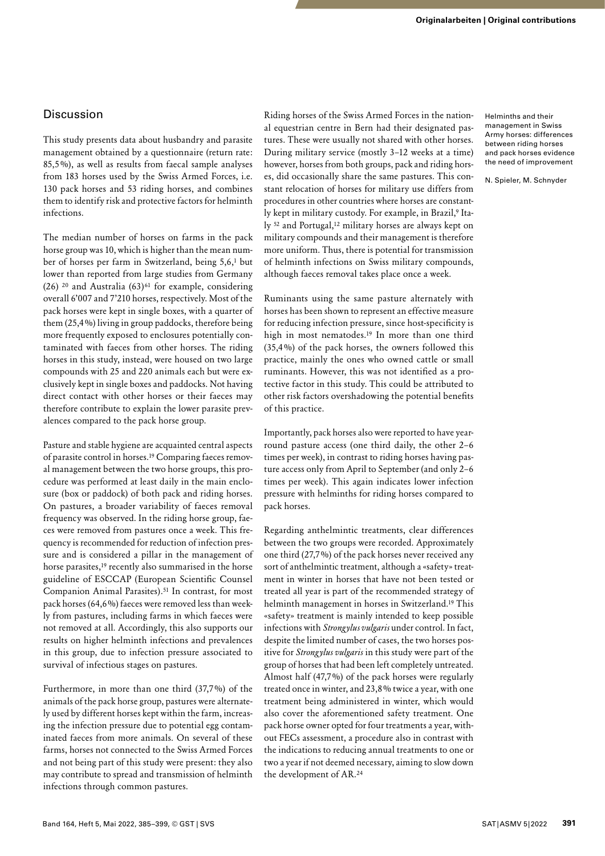## **Discussion**

This study presents data about husbandry and parasite management obtained by a questionnaire (return rate: 85,5%), as well as results from faecal sample analyses from 183 horses used by the Swiss Armed Forces, i.e. 130 pack horses and 53 riding horses, and combines them to identify risk and protective factors for helminth infections.

The median number of horses on farms in the pack horse group was 10, which is higher than the mean number of horses per farm in Switzerland, being 5,6,1 but lower than reported from large studies from Germany (26) <sup>20</sup> and Australia (63)<sup>61</sup> for example, considering overall 6'007 and 7'210 horses, respectively. Most of the pack horses were kept in single boxes, with a quarter of them (25,4%) living in group paddocks, therefore being more frequently exposed to enclosures potentially contaminated with faeces from other horses. The riding horses in this study, instead, were housed on two large compounds with 25 and 220 animals each but were exclusively kept in single boxes and paddocks. Not having direct contact with other horses or their faeces may therefore contribute to explain the lower parasite prevalences compared to the pack horse group.

Pasture and stable hygiene are acquainted central aspects of parasite control in horses.19 Comparing faeces removal management between the two horse groups, this procedure was performed at least daily in the main enclosure (box or paddock) of both pack and riding horses. On pastures, a broader variability of faeces removal frequency was observed. In the riding horse group, faeces were removed from pastures once a week. This frequency is recommended for reduction of infection pressure and is considered a pillar in the management of horse parasites,<sup>19</sup> recently also summarised in the horse guideline of ESCCAP (European Scientific Counsel Companion Animal Parasites).<sup>51</sup> In contrast, for most pack horses (64,6%) faeces were removed less than weekly from pastures, including farms in which faeces were not removed at all. Accordingly, this also supports our results on higher helminth infections and prevalences in this group, due to infection pressure associated to survival of infectious stages on pastures.

Furthermore, in more than one third (37,7%) of the animals of the pack horse group, pastures were alternately used by different horses kept within the farm, increasing the infection pressure due to potential egg contaminated faeces from more animals. On several of these farms, horses not connected to the Swiss Armed Forces and not being part of this study were present: they also may contribute to spread and transmission of helminth infections through common pastures.

Riding horses of the Swiss Armed Forces in the national equestrian centre in Bern had their designated pastures. These were usually not shared with other horses. During military service (mostly 3–12 weeks at a time) however, horses from both groups, pack and riding horses, did occasionally share the same pastures. This constant relocation of horses for military use differs from procedures in other countries where horses are constantly kept in military custody. For example, in Brazil,<sup>9</sup> Italy <sup>52</sup> and Portugal,<sup>12</sup> military horses are always kept on military compounds and their management is therefore more uniform. Thus, there is potential for transmission of helminth infections on Swiss military compounds, although faeces removal takes place once a week.

Ruminants using the same pasture alternately with horses has been shown to represent an effective measure for reducing infection pressure, since host-specificity is high in most nematodes.19 In more than one third (35,4%) of the pack horses, the owners followed this practice, mainly the ones who owned cattle or small ruminants. However, this was not identified as a protective factor in this study. This could be attributed to other risk factors overshadowing the potential benefits of this practice.

Importantly, pack horses also were reported to have yearround pasture access (one third daily, the other 2–6 times per week), in contrast to riding horses having pasture access only from April to September (and only 2–6 times per week). This again indicates lower infection pressure with helminths for riding horses compared to pack horses.

Regarding anthelmintic treatments, clear differences between the two groups were recorded. Approximately one third (27,7%) of the pack horses never received any sort of anthelmintic treatment, although a «safety» treatment in winter in horses that have not been tested or treated all year is part of the recommended strategy of helminth management in horses in Switzerland.19 This «safety» treatment is mainly intended to keep possible infections with *Strongylus vulgaris* under control*.* In fact, despite the limited number of cases, the two horses positive for *Strongylus vulgaris* in this study were part of the group of horses that had been left completely untreated. Almost half (47,7%) of the pack horses were regularly treated once in winter, and 23,8% twice a year, with one treatment being administered in winter, which would also cover the aforementioned safety treatment. One pack horse owner opted for four treatments a year, without FECs assessment, a procedure also in contrast with the indications to reducing annual treatments to one or two a year if not deemed necessary, aiming to slow down the development of AR.24

Helminths and their management in Swiss Army horses: differences between riding horses and pack horses evidence the need of improvement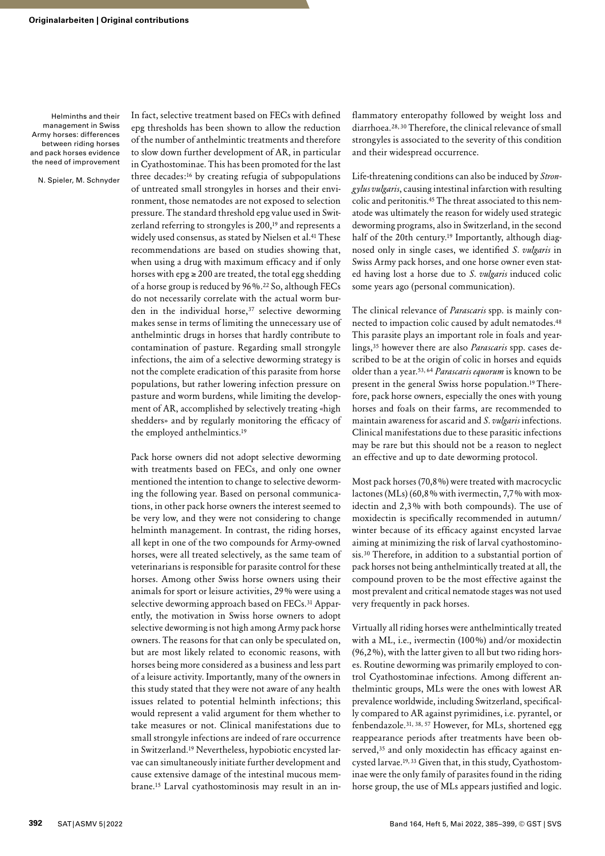N. Spieler, M. Schnyder

In fact, selective treatment based on FECs with defined epg thresholds has been shown to allow the reduction of the number of anthelmintic treatments and therefore to slow down further development of AR, in particular in Cyathostominae. This has been promoted for the last three decades:16 by creating refugia of subpopulations of untreated small strongyles in horses and their environment, those nematodes are not exposed to selection pressure. The standard threshold epg value used in Switzerland referring to strongyles is 200,<sup>19</sup> and represents a widely used consensus, as stated by Nielsen et al.41 These recommendations are based on studies showing that, when using a drug with maximum efficacy and if only horses with  $epg \ge 200$  are treated, the total egg shedding of a horse group is reduced by 96%.22 So, although FECs do not necessarily correlate with the actual worm burden in the individual horse,<sup>37</sup> selective deworming makes sense in terms of limiting the unnecessary use of anthelmintic drugs in horses that hardly contribute to contamination of pasture. Regarding small strongyle infections, the aim of a selective deworming strategy is not the complete eradication of this parasite from horse populations, but rather lowering infection pressure on pasture and worm burdens, while limiting the development of AR, accomplished by selectively treating «high shedders» and by regularly monitoring the efficacy of the employed anthelmintics.19

Pack horse owners did not adopt selective deworming with treatments based on FECs, and only one owner mentioned the intention to change to selective deworming the following year. Based on personal communications, in other pack horse owners the interest seemed to be very low, and they were not considering to change helminth management. In contrast, the riding horses, all kept in one of the two compounds for Army-owned horses, were all treated selectively, as the same team of veterinarians is responsible for parasite control for these horses. Among other Swiss horse owners using their animals for sport or leisure activities, 29% were using a selective deworming approach based on FECs.<sup>31</sup> Apparently, the motivation in Swiss horse owners to adopt selective deworming is not high among Army pack horse owners. The reasons for that can only be speculated on, but are most likely related to economic reasons, with horses being more considered as a business and less part of a leisure activity. Importantly, many of the owners in this study stated that they were not aware of any health issues related to potential helminth infections; this would represent a valid argument for them whether to take measures or not. Clinical manifestations due to small strongyle infections are indeed of rare occurrence in Switzerland.19 Nevertheless, hypobiotic encysted larvae can simultaneously initiate further development and cause extensive damage of the intestinal mucous membrane.15 Larval cyathostominosis may result in an inflammatory enteropathy followed by weight loss and diarrhoea.28, 30 Therefore, the clinical relevance of small strongyles is associated to the severity of this condition and their widespread occurrence.

Life-threatening conditions can also be induced by *Strongylus vulgaris*, causing intestinal infarction with resulting colic and peritonitis.45 The threat associated to this nematode was ultimately the reason for widely used strategic deworming programs, also in Switzerland, in the second half of the 20th century.<sup>19</sup> Importantly, although diagnosed only in single cases, we identified *S. vulgaris* in Swiss Army pack horses, and one horse owner even stated having lost a horse due to *S. vulgaris* induced colic some years ago (personal communication).

The clinical relevance of *Parascaris* spp. is mainly connected to impaction colic caused by adult nematodes.48 This parasite plays an important role in foals and yearlings,35 however there are also *Parascaris* spp. cases described to be at the origin of colic in horses and equids older than a year.53, 64 *Parascaris equorum* is known to be present in the general Swiss horse population.19 Therefore, pack horse owners, especially the ones with young horses and foals on their farms, are recommended to maintain awareness for ascarid and *S. vulgaris* infections. Clinical manifestations due to these parasitic infections may be rare but this should not be a reason to neglect an effective and up to date deworming protocol.

Most pack horses (70,8%) were treated with macrocyclic lactones (MLs) (60,8% with ivermectin, 7,7% with moxidectin and 2,3% with both compounds). The use of moxidectin is specifically recommended in autumn/ winter because of its efficacy against encysted larvae aiming at minimizing the risk of larval cyathostominosis.30 Therefore, in addition to a substantial portion of pack horses not being anthelmintically treated at all, the compound proven to be the most effective against the most prevalent and critical nematode stages was not used very frequently in pack horses.

Virtually all riding horses were anthelmintically treated with a ML, i.e., ivermectin (100%) and/or moxidectin (96,2%), with the latter given to all but two riding horses. Routine deworming was primarily employed to control Cyathostominae infections. Among different anthelmintic groups, MLs were the ones with lowest AR prevalence worldwide, including Switzerland, specifically compared to AR against pyrimidines, i.e. pyrantel, or fenbendazole.31, 38, 57 However, for MLs, shortened egg reappearance periods after treatments have been observed,<sup>35</sup> and only moxidectin has efficacy against encysted larvae.19, 33 Given that, in this study, Cyathostominae were the only family of parasites found in the riding horse group, the use of MLs appears justified and logic.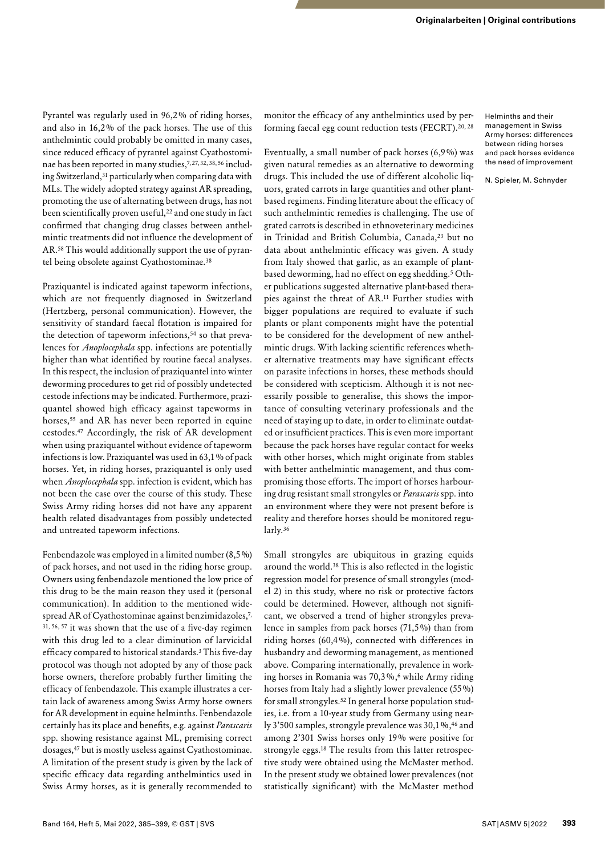Pyrantel was regularly used in 96,2% of riding horses, and also in 16,2% of the pack horses. The use of this anthelmintic could probably be omitted in many cases, since reduced efficacy of pyrantel against Cyathostominae has been reported in many studies,7, 27, 32, 38, 56 including Switzerland,31 particularly when comparing data with MLs. The widely adopted strategy against AR spreading, promoting the use of alternating between drugs, has not been scientifically proven useful,<sup>22</sup> and one study in fact confirmed that changing drug classes between anthelmintic treatments did not influence the development of AR.58 This would additionally support the use of pyrantel being obsolete against Cyathostominae.38

Praziquantel is indicated against tapeworm infections, which are not frequently diagnosed in Switzerland (Hertzberg, personal communication). However, the sensitivity of standard faecal flotation is impaired for the detection of tapeworm infections,<sup>54</sup> so that prevalences for *Anoplocephala* spp. infections are potentially higher than what identified by routine faecal analyses. In this respect, the inclusion of praziquantel into winter deworming procedures to get rid of possibly undetected cestode infections may be indicated. Furthermore, praziquantel showed high efficacy against tapeworms in horses,<sup>55</sup> and AR has never been reported in equine cestodes.47 Accordingly, the risk of AR development when using praziquantel without evidence of tapeworm infections is low. Praziquantel was used in 63,1% of pack horses. Yet, in riding horses, praziquantel is only used when *Anoplocephala* spp. infection is evident, which has not been the case over the course of this study. These Swiss Army riding horses did not have any apparent health related disadvantages from possibly undetected and untreated tapeworm infections.

Fenbendazole was employed in a limited number (8,5%) of pack horses, and not used in the riding horse group. Owners using fenbendazole mentioned the low price of this drug to be the main reason they used it (personal communication). In addition to the mentioned widespread AR of Cyathostominae against benzimidazoles,7, 31, 56, 57 it was shown that the use of a five-day regimen with this drug led to a clear diminution of larvicidal efficacy compared to historical standards.3 This five-day protocol was though not adopted by any of those pack horse owners, therefore probably further limiting the efficacy of fenbendazole. This example illustrates a certain lack of awareness among Swiss Army horse owners for AR development in equine helminths. Fenbendazole certainly has its place and benefits, e.g. against *Parascaris* spp. showing resistance against ML, premising correct dosages,47 but is mostly useless against Cyathostominae. A limitation of the present study is given by the lack of specific efficacy data regarding anthelmintics used in Swiss Army horses, as it is generally recommended to monitor the efficacy of any anthelmintics used by performing faecal egg count reduction tests (FECRT).<sup>20, 28</sup>

Eventually, a small number of pack horses (6,9%) was given natural remedies as an alternative to deworming drugs. This included the use of different alcoholic liquors, grated carrots in large quantities and other plantbased regimens. Finding literature about the efficacy of such anthelmintic remedies is challenging. The use of grated carrots is described in ethnoveterinary medicines in Trinidad and British Columbia, Canada,<sup>23</sup> but no data about anthelmintic efficacy was given. A study from Italy showed that garlic, as an example of plantbased deworming, had no effect on egg shedding.5 Other publications suggested alternative plant-based therapies against the threat of AR.11 Further studies with bigger populations are required to evaluate if such plants or plant components might have the potential to be considered for the development of new anthelmintic drugs. With lacking scientific references whether alternative treatments may have significant effects on parasite infections in horses, these methods should be considered with scepticism. Although it is not necessarily possible to generalise, this shows the importance of consulting veterinary professionals and the need of staying up to date, in order to eliminate outdated or insufficient practices. This is even more important because the pack horses have regular contact for weeks with other horses, which might originate from stables with better anthelmintic management, and thus compromising those efforts. The import of horses harbouring drug resistant small strongyles or *Parascaris* spp. into an environment where they were not present before is reality and therefore horses should be monitored regularly.36

Small strongyles are ubiquitous in grazing equids around the world.38 This is also reflected in the logistic regression model for presence of small strongyles (model 2) in this study, where no risk or protective factors could be determined. However, although not significant, we observed a trend of higher strongyles prevalence in samples from pack horses (71,5%) than from riding horses (60,4%), connected with differences in husbandry and deworming management, as mentioned above. Comparing internationally, prevalence in working horses in Romania was 70,3%,<sup>6</sup> while Army riding horses from Italy had a slightly lower prevalence (55%) for small strongyles.52 In general horse population studies, i.e. from a 10-year study from Germany using nearly 3'500 samples, strongyle prevalence was 30,1%,46 and among 2'301 Swiss horses only 19% were positive for strongyle eggs.18 The results from this latter retrospective study were obtained using the McMaster method.

In the present study we obtained lower prevalences (not statistically significant) with the McMaster method

Helminths and their management in Swiss Army horses: differences between riding horses and pack horses evidence the need of improvement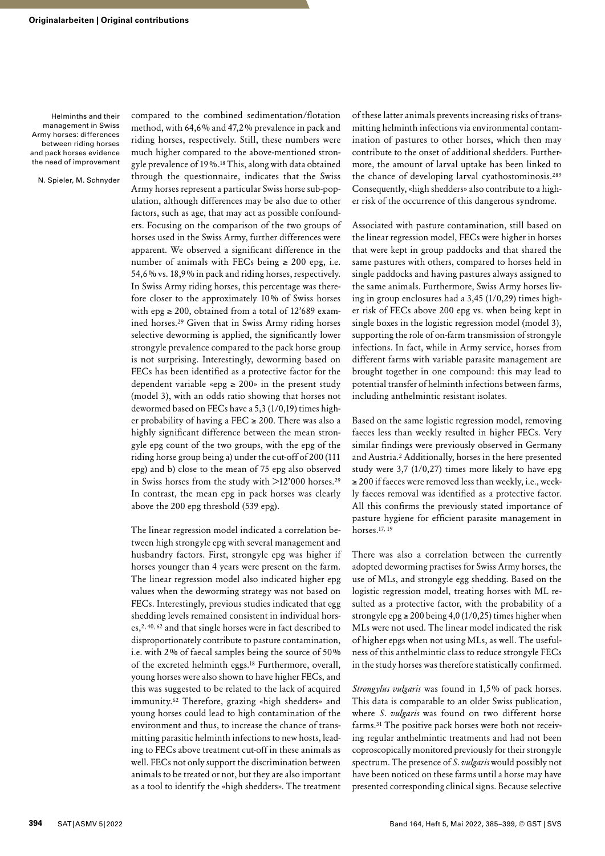N. Spieler, M. Schnyder

compared to the combined sedimentation/flotation method, with 64,6% and 47,2% prevalence in pack and riding horses, respectively. Still, these numbers were much higher compared to the above-mentioned strongyle prevalence of 19%.18 This, along with data obtained through the questionnaire, indicates that the Swiss Army horses represent a particular Swiss horse sub-population, although differences may be also due to other factors, such as age, that may act as possible confounders. Focusing on the comparison of the two groups of horses used in the Swiss Army, further differences were apparent. We observed a significant difference in the number of animals with FECs being  $\geq 200$  epg, i.e. 54,6% vs. 18,9% in pack and riding horses, respectively. In Swiss Army riding horses, this percentage was therefore closer to the approximately 10% of Swiss horses with epg  $\geq$  200, obtained from a total of 12'689 examined horses.29 Given that in Swiss Army riding horses selective deworming is applied, the significantly lower strongyle prevalence compared to the pack horse group is not surprising. Interestingly, deworming based on FECs has been identified as a protective factor for the dependent variable «epg  $\geq$  200» in the present study (model 3), with an odds ratio showing that horses not dewormed based on FECs have a 5,3 (1/0,19) times higher probability of having a FEC  $\geq$  200. There was also a highly significant difference between the mean strongyle epg count of the two groups, with the epg of the riding horse group being a) under the cut-off of 200 (111 epg) and b) close to the mean of 75 epg also observed in Swiss horses from the study with >12'000 horses.<sup>29</sup> In contrast, the mean epg in pack horses was clearly above the 200 epg threshold (539 epg).

The linear regression model indicated a correlation between high strongyle epg with several management and husbandry factors. First, strongyle epg was higher if horses younger than 4 years were present on the farm. The linear regression model also indicated higher epg values when the deworming strategy was not based on FECs. Interestingly, previous studies indicated that egg shedding levels remained consistent in individual horses,2, 40, 62 and that single horses were in fact described to disproportionately contribute to pasture contamination, i.e. with 2% of faecal samples being the source of 50% of the excreted helminth eggs.18 Furthermore, overall, young horses were also shown to have higher FECs, and this was suggested to be related to the lack of acquired immunity.62 Therefore, grazing «high shedders» and young horses could lead to high contamination of the environment and thus, to increase the chance of transmitting parasitic helminth infections to new hosts, leading to FECs above treatment cut-off in these animals as well. FECs not only support the discrimination between animals to be treated or not, but they are also important as a tool to identify the «high shedders». The treatment

of these latter animals prevents increasing risks of transmitting helminth infections via environmental contamination of pastures to other horses, which then may contribute to the onset of additional shedders. Furthermore, the amount of larval uptake has been linked to the chance of developing larval cyathostominosis.289 Consequently, «high shedders» also contribute to a higher risk of the occurrence of this dangerous syndrome.

Associated with pasture contamination, still based on the linear regression model, FECs were higher in horses that were kept in group paddocks and that shared the same pastures with others, compared to horses held in single paddocks and having pastures always assigned to the same animals. Furthermore, Swiss Army horses living in group enclosures had a 3,45 (1/0,29) times higher risk of FECs above 200 epg vs. when being kept in single boxes in the logistic regression model (model 3), supporting the role of on-farm transmission of strongyle infections. In fact, while in Army service, horses from different farms with variable parasite management are brought together in one compound: this may lead to potential transfer of helminth infections between farms, including anthelmintic resistant isolates.

Based on the same logistic regression model, removing faeces less than weekly resulted in higher FECs. Very similar findings were previously observed in Germany and Austria.2 Additionally, horses in the here presented study were 3,7 (1/0,27) times more likely to have epg ≥ 200 if faeces were removed less than weekly, i.e., weekly faeces removal was identified as a protective factor. All this confirms the previously stated importance of pasture hygiene for efficient parasite management in horses.17, 19

There was also a correlation between the currently adopted deworming practises for Swiss Army horses, the use of MLs, and strongyle egg shedding. Based on the logistic regression model, treating horses with ML resulted as a protective factor, with the probability of a strongyle epg  $\geq 200$  being 4,0 (1/0,25) times higher when MLs were not used. The linear model indicated the risk of higher epgs when not using MLs, as well. The usefulness of this anthelmintic class to reduce strongyle FECs in the study horses was therefore statistically confirmed.

*Strongylus vulgaris* was found in 1,5% of pack horses. This data is comparable to an older Swiss publication, where *S. vulgaris* was found on two different horse farms.31 The positive pack horses were both not receiving regular anthelmintic treatments and had not been coproscopically monitored previously for their strongyle spectrum. The presence of *S. vulgaris* would possibly not have been noticed on these farms until a horse may have presented corresponding clinical signs. Because selective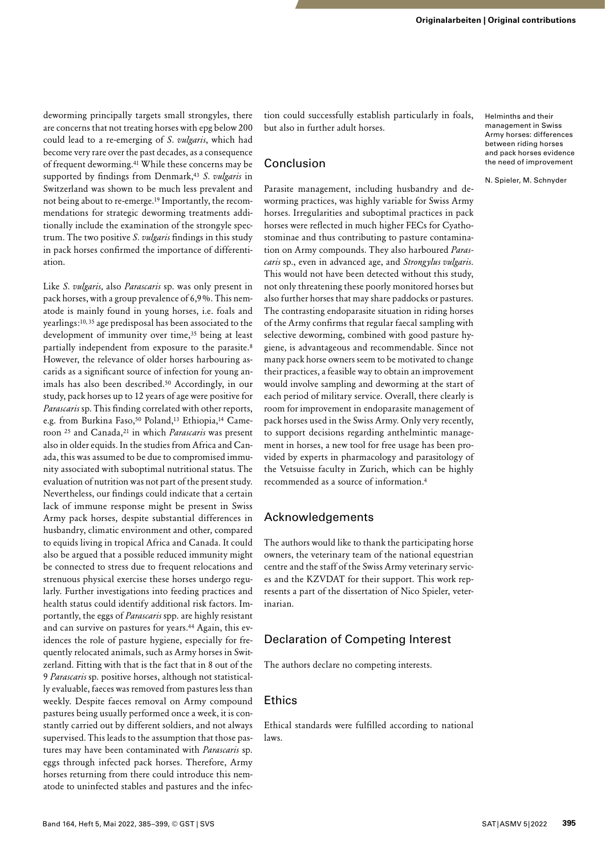deworming principally targets small strongyles, there are concerns that not treating horses with epg below 200 could lead to a re-emerging of *S. vulgaris*, which had become very rare over the past decades, as a consequence of frequent deworming.41 While these concerns may be supported by findings from Denmark,43 *S. vulgaris* in Switzerland was shown to be much less prevalent and not being about to re-emerge.19 Importantly, the recommendations for strategic deworming treatments additionally include the examination of the strongyle spectrum. The two positive *S. vulgaris* findings in this study in pack horses confirmed the importance of differentiation.

Like *S. vulgaris,* also *Parascaris* sp. was only present in pack horses, with a group prevalence of 6,9%. This nematode is mainly found in young horses, i.e. foals and yearlings:10, 35 age predisposal has been associated to the development of immunity over time,<sup>35</sup> being at least partially independent from exposure to the parasite.<sup>8</sup> However, the relevance of older horses harbouring ascarids as a significant source of infection for young animals has also been described.50 Accordingly, in our study, pack horses up to 12 years of age were positive for *Parascaris* sp. This finding correlated with other reports, e.g. from Burkina Faso,<sup>50</sup> Poland,<sup>13</sup> Ethiopia,<sup>14</sup> Cameroon 25 and Canada,21 in which *Parascaris* was present also in older equids. In the studies from Africa and Canada, this was assumed to be due to compromised immunity associated with suboptimal nutritional status. The evaluation of nutrition was not part of the present study. Nevertheless, our findings could indicate that a certain lack of immune response might be present in Swiss Army pack horses, despite substantial differences in husbandry, climatic environment and other, compared to equids living in tropical Africa and Canada. It could also be argued that a possible reduced immunity might be connected to stress due to frequent relocations and strenuous physical exercise these horses undergo regularly. Further investigations into feeding practices and health status could identify additional risk factors. Importantly, the eggs of *Parascaris* spp. are highly resistant and can survive on pastures for years.44 Again, this evidences the role of pasture hygiene, especially for frequently relocated animals, such as Army horses in Switzerland. Fitting with that is the fact that in 8 out of the 9 *Parascaris* sp. positive horses, although not statistically evaluable, faeces was removed from pastures less than weekly. Despite faeces removal on Army compound pastures being usually performed once a week, it is constantly carried out by different soldiers, and not always supervised. This leads to the assumption that those pastures may have been contaminated with *Parascaris* sp. eggs through infected pack horses. Therefore, Army horses returning from there could introduce this nematode to uninfected stables and pastures and the infection could successfully establish particularly in foals, but also in further adult horses.

## Conclusion

Parasite management, including husbandry and deworming practices, was highly variable for Swiss Army horses. Irregularities and suboptimal practices in pack horses were reflected in much higher FECs for Cyathostominae and thus contributing to pasture contamination on Army compounds. They also harboured *Parascaris* sp., even in advanced age, and *Strongylus vulgaris*. This would not have been detected without this study, not only threatening these poorly monitored horses but also further horses that may share paddocks or pastures. The contrasting endoparasite situation in riding horses of the Army confirms that regular faecal sampling with selective deworming, combined with good pasture hygiene, is advantageous and recommendable. Since not many pack horse owners seem to be motivated to change their practices, a feasible way to obtain an improvement would involve sampling and deworming at the start of each period of military service. Overall, there clearly is room for improvement in endoparasite management of pack horses used in the Swiss Army. Only very recently, to support decisions regarding anthelmintic management in horses, a new tool for free usage has been provided by experts in pharmacology and parasitology of the Vetsuisse faculty in Zurich, which can be highly recommended as a source of information.4

## Acknowledgements

The authors would like to thank the participating horse owners, the veterinary team of the national equestrian centre and the staff of the Swiss Army veterinary services and the KZVDAT for their support. This work represents a part of the dissertation of Nico Spieler, veterinarian.

# Declaration of Competing Interest

The authors declare no competing interests.

## Ethics

Ethical standards were fulfilled according to national laws.

Helminths and their management in Swiss Army horses: differences between riding horses and pack horses evidence the need of improvement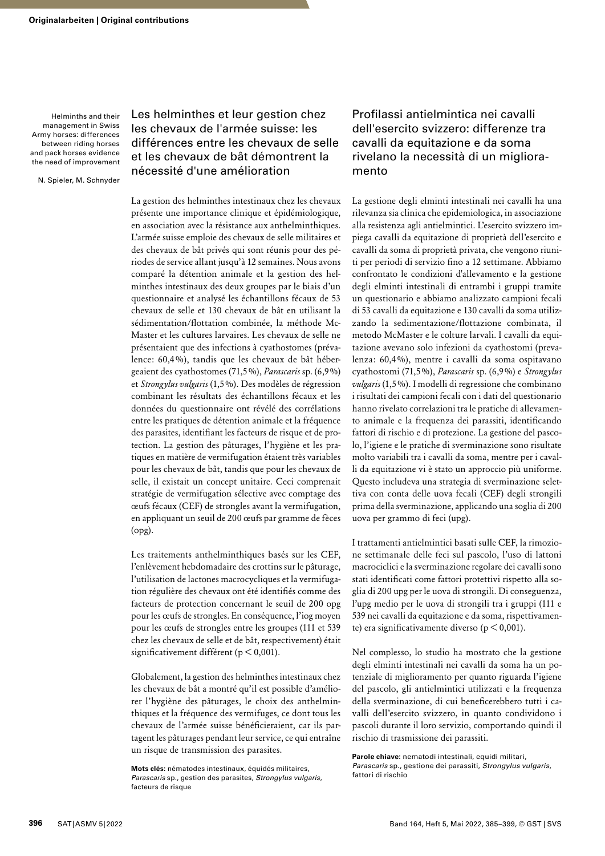N. Spieler, M. Schnyder

# Les helminthes et leur gestion chez les chevaux de l'armée suisse: les différences entre les chevaux de selle et les chevaux de bât démontrent la nécessité d'une amélioration

La gestion des helminthes intestinaux chez les chevaux présente une importance clinique et épidémiologique, en association avec la résistance aux anthelminthiques. L'armée suisse emploie des chevaux de selle militaires et des chevaux de bât privés qui sont réunis pour des périodes de service allant jusqu'à 12 semaines. Nous avons comparé la détention animale et la gestion des helminthes intestinaux des deux groupes par le biais d'un questionnaire et analysé les échantillons fécaux de 53 chevaux de selle et 130 chevaux de bât en utilisant la sédimentation/flottation combinée, la méthode Mc-Master et les cultures larvaires. Les chevaux de selle ne présentaient que des infections à cyathostomes (prévalence: 60,4%), tandis que les chevaux de bât hébergeaient des cyathostomes (71,5%), *Parascaris* sp. (6,9%) et *Strongylus vulgaris* (1,5%). Des modèles de régression combinant les résultats des échantillons fécaux et les données du questionnaire ont révélé des corrélations entre les pratiques de détention animale et la fréquence des parasites, identifiant les facteurs de risque et de protection. La gestion des pâturages, l'hygiène et les pratiques en matière de vermifugation étaient très variables pour les chevaux de bât, tandis que pour les chevaux de selle, il existait un concept unitaire. Ceci comprenait stratégie de vermifugation sélective avec comptage des œufs fécaux (CEF) de strongles avant la vermifugation, en appliquant un seuil de 200 œufs par gramme de fèces (opg).

Les traitements anthelminthiques basés sur les CEF, l'enlèvement hebdomadaire des crottins sur le pâturage, l'utilisation de lactones macrocycliques et la vermifugation régulière des chevaux ont été identifiés comme des facteurs de protection concernant le seuil de 200 opg pour les œufs de strongles. En conséquence, l'iog moyen pour les œufs de strongles entre les groupes (111 et 539 chez les chevaux de selle et de bât, respectivement) était significativement différent (p < 0,001).

Globalement, la gestion des helminthes intestinaux chez les chevaux de bât a montré qu'il est possible d'améliorer l'hygiène des pâturages, le choix des anthelminthiques et la fréquence des vermifuges, ce dont tous les chevaux de l'armée suisse bénéficieraient, car ils partagent les pâturages pendant leur service, ce qui entraîne un risque de transmission des parasites.

**Mots clés:** nématodes intestinaux, équidés militaires, *Parascaris* sp., gestion des parasites, *Strongylus vulgaris*, facteurs de risque

# Profilassi antielmintica nei cavalli dell'esercito svizzero: differenze tra cavalli da equitazione e da soma rivelano la necessità di un miglioramento

La gestione degli elminti intestinali nei cavalli ha una rilevanza sia clinica che epidemiologica, in associazione alla resistenza agli antielmintici. L'esercito svizzero impiega cavalli da equitazione di proprietà dell'esercito e cavalli da soma di proprietà privata, che vengono riuniti per periodi di servizio fino a 12 settimane. Abbiamo confrontato le condizioni d'allevamento e la gestione degli elminti intestinali di entrambi i gruppi tramite un questionario e abbiamo analizzato campioni fecali di 53 cavalli da equitazione e 130 cavalli da soma utilizzando la sedimentazione/flottazione combinata, il metodo McMaster e le colture larvali. I cavalli da equitazione avevano solo infezioni da cyathostomi (prevalenza: 60,4%), mentre i cavalli da soma ospitavano cyathostomi (71,5%), *Parascaris* sp. (6,9%) e *Strongylus vulgaris* (1,5%). I modelli di regressione che combinano i risultati dei campioni fecali con i dati del questionario hanno rivelato correlazioni tra le pratiche di allevamento animale e la frequenza dei parassiti, identificando fattori di rischio e di protezione. La gestione del pascolo, l'igiene e le pratiche di sverminazione sono risultate molto variabili tra i cavalli da soma, mentre per i cavalli da equitazione vi è stato un approccio più uniforme. Questo includeva una strategia di sverminazione selettiva con conta delle uova fecali (CEF) degli strongili prima della sverminazione, applicando una soglia di 200 uova per grammo di feci (upg).

I trattamenti antielmintici basati sulle CEF, la rimozione settimanale delle feci sul pascolo, l'uso di lattoni macrociclici e la sverminazione regolare dei cavalli sono stati identificati come fattori protettivi rispetto alla soglia di 200 upg per le uova di strongili. Di conseguenza, l'upg medio per le uova di strongili tra i gruppi (111 e 539 nei cavalli da equitazione e da soma, rispettivamente) era significativamente diverso (p < 0,001).

Nel complesso, lo studio ha mostrato che la gestione degli elminti intestinali nei cavalli da soma ha un potenziale di miglioramento per quanto riguarda l'igiene del pascolo, gli antielmintici utilizzati e la frequenza della sverminazione, di cui beneficerebbero tutti i cavalli dell'esercito svizzero, in quanto condividono i pascoli durante il loro servizio, comportando quindi il rischio di trasmissione dei parassiti.

**Parole chiave:** nematodi intestinali, equidi militari, *Parascaris* sp., gestione dei parassiti, *Strongylus vulgaris*, fattori di rischio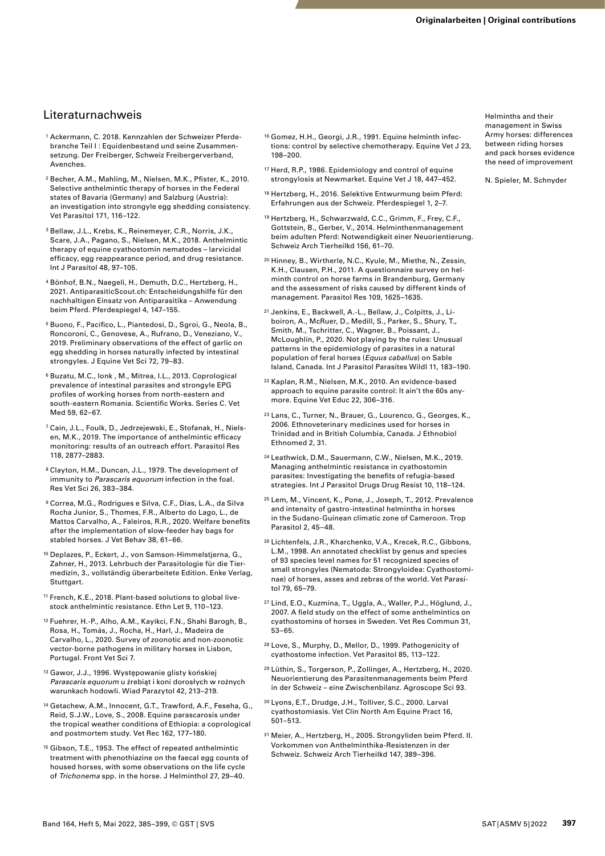# Literaturnachweis

- 1 Ackermann, C. 2018. Kennzahlen der Schweizer Pferdebranche Teil I : Equidenbestand und seine Zusammensetzung. Der Freiberger, Schweiz Freibergerverband, Avenches.
- 2 Becher, A.M., Mahling, M., Nielsen, M.K., Pfister, K., 2010. Selective anthelmintic therapy of horses in the Federal states of Bavaria (Germany) and Salzburg (Austria): an investigation into strongyle egg shedding consistency. Vet Parasitol 171, 116–122.
- 3 Bellaw, J.L., Krebs, K., Reinemeyer, C.R., Norris, J.K., Scare, J.A., Pagano, S., Nielsen, M.K., 2018. Anthelmintic therapy of equine cyathostomin nematodes – larvicidal efficacy, egg reappearance period, and drug resistance. Int J Parasitol 48, 97–105.
- 4 Bönhof, B.N., Naegeli, H., Demuth, D.C., Hertzberg, H., 2021. [AntiparasiticScout.ch:](http://AntiparasiticScout.ch:) Entscheidungshilfe für den nachhaltigen Einsatz von Antiparasitika – Anwendung beim Pferd. Pferdespiegel 4, 147–155.
- 5 Buono, F., Pacifico, L., Piantedosi, D., Sgroi, G., Neola, B., Roncoroni, C., Genovese, A., Rufrano, D., Veneziano, V., 2019. Preliminary observations of the effect of garlic on egg shedding in horses naturally infected by intestinal strongyles. J Equine Vet Sci 72, 79–83.
- 6 Buzatu, M.C., Ionk , M., Mitrea, I.L., 2013. Coprological prevalence of intestinal parasites and strongyle EPG profiles of working horses from north-eastern and south-eastern Romania. Scientific Works. Series C. Vet Med 59, 62–67.
- 7 Cain, J.L., Foulk, D., Jedrzejewski, E., Stofanak, H., Nielsen, M.K., 2019. The importance of anthelmintic efficacy monitoring: results of an outreach effort. Parasitol Res 118, 2877–2883.
- 8 Clayton, H.M., Duncan, J.L., 1979. The development of immunity to *Parascaris equorum* infection in the foal. Res Vet Sci 26, 383–384.
- 9 Correa, M.G., Rodrigues e Silva, C.F., Dias, L.A., da Silva Rocha Junior, S., Thomes, F.R., Alberto do Lago, L., de Mattos Carvalho, A., Faleiros, R.R., 2020. Welfare benefits after the implementation of slow-feeder hay bags for stabled horses. J Vet Behav 38, 61–66.
- 10 Deplazes, P., Eckert, J., von Samson-Himmelstjerna, G., Zahner, H., 2013. Lehrbuch der Parasitologie für die Tiermedizin, 3., vollständig überarbeitete Edition. Enke Verlag, Stuttgart.
- 11 French, K.E., 2018. Plant-based solutions to global livestock anthelmintic resistance. Ethn Let 9, 110–123.
- 12 Fuehrer, H.-P., Alho, A.M., Kayikci, F.N., Shahi Barogh, B., Rosa, H., Tomás, J., Rocha, H., Harl, J., Madeira de Carvalho, L., 2020. Survey of zoonotic and non-zoonotic vector-borne pathogens in military horses in Lisbon, Portugal. Front Vet Sci 7.
- 13 Gawor, J.J., 1996. Występowanie glisty końskiej *Parascaris equorum* u źrebiąt i koni dorosłych w rożnych warunkach hodowli. Wiad Parazytol 42, 213–219.
- 14 Getachew, A.M., Innocent, G.T., Trawford, A.F., Feseha, G., Reid, S.J.W., Love, S., 2008. Equine parascarosis under the tropical weather conditions of Ethiopia: a coprological and postmortem study. Vet Rec 162, 177–180.
- 15 Gibson, T.E., 1953. The effect of repeated anthelmintic treatment with phenothiazine on the faecal egg counts of housed horses, with some observations on the life cycle of *Trichonema* spp. in the horse. J Helminthol 27, 29–40.
- 16 Gomez, H.H., Georgi, J.R., 1991. Equine helminth infections: control by selective chemotherapy. Equine Vet J 23, 198–200.
- 17 Herd, R.P., 1986. Epidemiology and control of equine strongylosis at Newmarket. Equine Vet J 18, 447–452.
- 18 Hertzberg, H., 2016. Selektive Entwurmung beim Pferd: Erfahrungen aus der Schweiz. Pferdespiegel 1, 2–7.
- 19 Hertzberg, H., Schwarzwald, C.C., Grimm, F., Frey, C.F., Gottstein, B., Gerber, V., 2014. Helminthenmanagement beim adulten Pferd: Notwendigkeit einer Neuorientierung. Schweiz Arch Tierheilkd 156, 61–70.
- 20 Hinney, B., Wirtherle, N.C., Kyule, M., Miethe, N., Zessin, K.H., Clausen, P.H., 2011. A questionnaire survey on helminth control on horse farms in Brandenburg, Germany and the assessment of risks caused by different kinds of management. Parasitol Res 109, 1625–1635.
- 21 Jenkins, E., Backwell, A.-L., Bellaw, J., Colpitts, J., Liboiron, A., McRuer, D., Medill, S., Parker, S., Shury, T., Smith, M., Tschritter, C., Wagner, B., Poissant, J., McLoughlin, P., 2020. Not playing by the rules: Unusual patterns in the epidemiology of parasites in a natural population of feral horses (*Equus caballus*) on Sable Island, Canada. Int J Parasitol Parasites Wildl 11, 183–190.
- 22 Kaplan, R.M., Nielsen, M.K., 2010. An evidence-based approach to equine parasite control: It ain't the 60s anymore. Equine Vet Educ 22, 306–316.
- 23 Lans, C., Turner, N., Brauer, G., Lourenco, G., Georges, K., 2006. Ethnoveterinary medicines used for horses in Trinidad and in British Columbia, Canada. J Ethnobiol Ethnomed 2, 31.
- 24 Leathwick, D.M., Sauermann, C.W., Nielsen, M.K., 2019. Managing anthelmintic resistance in cyathostomin parasites: Investigating the benefits of refugia-based strategies. Int J Parasitol Drugs Drug Resist 10, 118–124.
- 25 Lem, M., Vincent, K., Pone, J., Joseph, T., 2012. Prevalence and intensity of gastro-intestinal helminths in horses in the Sudano-Guinean climatic zone of Cameroon. Trop Parasitol 2, 45–48.
- 26 Lichtenfels, J.R., Kharchenko, V.A., Krecek, R.C., Gibbons, L.M., 1998. An annotated checklist by genus and species of 93 species level names for 51 recognized species of small strongyles (Nematoda: Strongyloidea: Cyathostominae) of horses, asses and zebras of the world. Vet Parasitol 79, 65–79.
- 27 Lind, E.O., Kuzmina, T., Uggla, A., Waller, P.J., Höglund, J., 2007. A field study on the effect of some anthelmintics on cyathostomins of horses in Sweden. Vet Res Commun 31, 53–65.
- 28 Love, S., Murphy, D., Mellor, D., 1999. Pathogenicity of cyathostome infection. Vet Parasitol 85, 113–122.
- 29 Lüthin, S., Torgerson, P., Zollinger, A., Hertzberg, H., 2020. Neuorientierung des Parasitenmanagements beim Pferd in der Schweiz – eine Zwischenbilanz. Agroscope Sci 93.
- 30 Lyons, E.T., Drudge, J.H., Tolliver, S.C., 2000. Larval cyathostomiasis. Vet Clin North Am Equine Pract 16, 501–513.
- 31 Meier, A., Hertzberg, H., 2005. Strongyliden beim Pferd. II. Vorkommen von Anthelminthika-Resistenzen in der Schweiz. Schweiz Arch Tierheilkd 147, 389–396.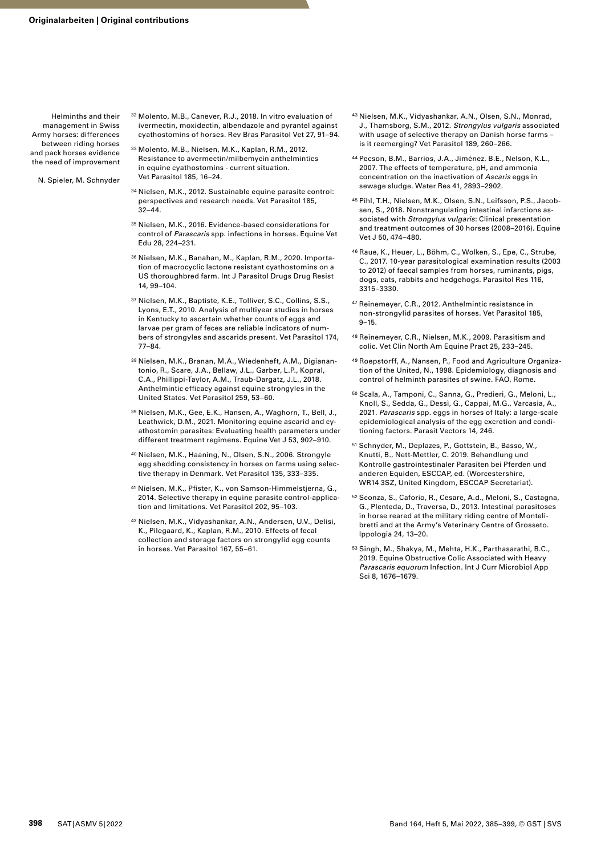- N. Spieler, M. Schnyder
- 32 Molento, M.B., Canever, R.J., 2018. In vitro evaluation of ivermectin, moxidectin, albendazole and pyrantel against cyathostomins of horses. Rev Bras Parasitol Vet 27, 91–94.
- 33 Molento, M.B., Nielsen, M.K., Kaplan, R.M., 2012. Resistance to avermectin/milbemycin anthelmintics in equine cyathostomins - current situation. Vet Parasitol 185, 16–24.
- 34 Nielsen, M.K., 2012. Sustainable equine parasite control: perspectives and research needs. Vet Parasitol 185, 32–44.
- 35 Nielsen, M.K., 2016. Evidence-based considerations for control of *Parascaris* spp. infections in horses. Equine Vet Edu 28, 224–231.
- 36 Nielsen, M.K., Banahan, M., Kaplan, R.M., 2020. Importation of macrocyclic lactone resistant cyathostomins on a US thoroughbred farm. Int J Parasitol Drugs Drug Resist 14, 99–104.
- 37 Nielsen, M.K., Baptiste, K.E., Tolliver, S.C., Collins, S.S., Lyons, E.T., 2010. Analysis of multiyear studies in horses in Kentucky to ascertain whether counts of eggs and larvae per gram of feces are reliable indicators of numbers of strongyles and ascarids present. Vet Parasitol 174, 77–84.
- 38 Nielsen, M.K., Branan, M.A., Wiedenheft, A.M., Digianantonio, R., Scare, J.A., Bellaw, J.L., Garber, L.P., Kopral, C.A., Phillippi-Taylor, A.M., Traub-Dargatz, J.L., 2018. Anthelmintic efficacy against equine strongyles in the United States. Vet Parasitol 259, 53–60.
- 39 Nielsen, M.K., Gee, E.K., Hansen, A., Waghorn, T., Bell, J., Leathwick, D.M., 2021. Monitoring equine ascarid and cyathostomin parasites: Evaluating health parameters under different treatment regimens. Equine Vet J 53, 902–910.
- 40 Nielsen, M.K., Haaning, N., Olsen, S.N., 2006. Strongyle egg shedding consistency in horses on farms using selective therapy in Denmark. Vet Parasitol 135, 333–335.
- 41 Nielsen, M.K., Pfister, K., von Samson-Himmelstjerna, G., 2014. Selective therapy in equine parasite control-application and limitations. Vet Parasitol 202, 95–103.
- 42 Nielsen, M.K., Vidyashankar, A.N., Andersen, U.V., Delisi, K., Pilegaard, K., Kaplan, R.M., 2010. Effects of fecal collection and storage factors on strongylid egg counts in horses. Vet Parasitol 167, 55–61.
- 43 Nielsen, M.K., Vidyashankar, A.N., Olsen, S.N., Monrad, J., Thamsborg, S.M., 2012. *Strongylus vulgaris* associated with usage of selective therapy on Danish horse farms – is it reemerging? Vet Parasitol 189, 260–266.
- 44 Pecson, B.M., Barrios, J.A., Jiménez, B.E., Nelson, K.L., 2007. The effects of temperature, pH, and ammonia concentration on the inactivation of *Ascaris* eggs in sewage sludge. Water Res 41, 2893–2902.
- 45 Pihl, T.H., Nielsen, M.K., Olsen, S.N., Leifsson, P.S., Jacobsen, S., 2018. Nonstrangulating intestinal infarctions associated with *Strongylus vulgaris*: Clinical presentation and treatment outcomes of 30 horses (2008–2016). Equine Vet J 50, 474–480.
- 46 Raue, K., Heuer, L., Böhm, C., Wolken, S., Epe, C., Strube, C., 2017. 10-year parasitological examination results (2003 to 2012) of faecal samples from horses, ruminants, pigs, dogs, cats, rabbits and hedgehogs. Parasitol Res 116, 3315–3330.
- 47 Reinemeyer, C.R., 2012. Anthelmintic resistance in non-strongylid parasites of horses. Vet Parasitol 185,  $9 - 15$ .
- 48 Reinemeyer, C.R., Nielsen, M.K., 2009. Parasitism and colic. Vet Clin North Am Equine Pract 25, 233–245.
- 49 Roepstorff, A., Nansen, P., Food and Agriculture Organization of the United, N., 1998. Epidemiology, diagnosis and control of helminth parasites of swine. FAO, Rome.
- 50 Scala, A., Tamponi, C., Sanna, G., Predieri, G., Meloni, L., Knoll, S., Sedda, G., Dessì, G., Cappai, M.G., Varcasia, A., 2021. *Parascaris* spp. eggs in horses of Italy: a large-scale epidemiological analysis of the egg excretion and conditioning factors. Parasit Vectors 14, 246.
- 51 Schnyder, M., Deplazes, P., Gottstein, B., Basso, W., Knutti, B., Nett-Mettler, C. 2019. Behandlung und Kontrolle gastrointestinaler Parasiten bei Pferden und anderen Equiden, ESCCAP, ed. (Worcestershire, WR14 3SZ, United Kingdom, ESCCAP Secretariat).
- 52 Sconza, S., Caforio, R., Cesare, A.d., Meloni, S., Castagna, G., Plenteda, D., Traversa, D., 2013. Intestinal parasitoses in horse reared at the military riding centre of Montelibretti and at the Army's Veterinary Centre of Grosseto. Ippologia 24, 13–20.
- 53 Singh, M., Shakya, M., Mehta, H.K., Parthasarathi, B.C., 2019. Equine Obstructive Colic Associated with Heavy *Parascaris equorum* Infection. Int J Curr Microbiol App Sci 8, 1676–1679.